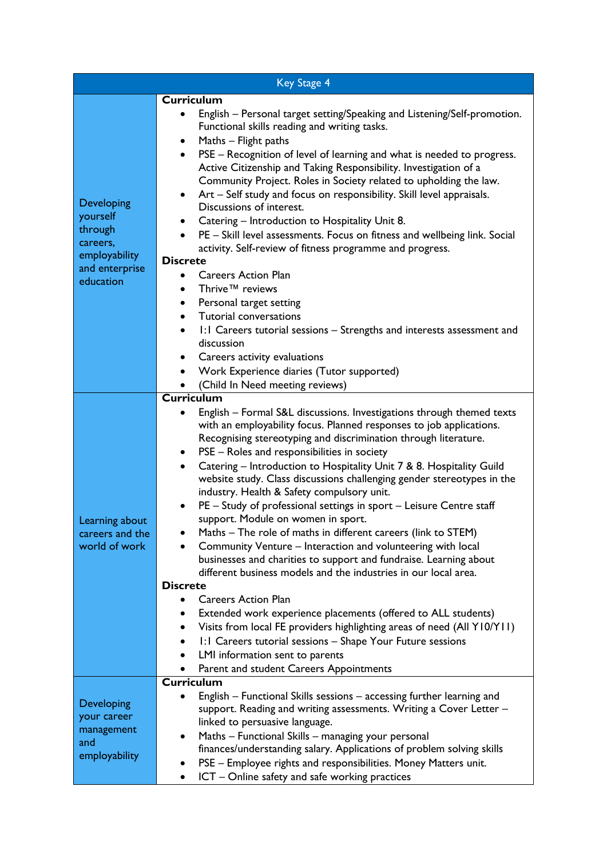| <b>Key Stage 4</b>                                                                            |                                                                                                                                                                                                                                                                                                                                                                                                                                                                                                                                                                                                                                                                                                                                                                                                                                                                                                                                                                                                                                                                                                                                                                                                                                                                            |  |
|-----------------------------------------------------------------------------------------------|----------------------------------------------------------------------------------------------------------------------------------------------------------------------------------------------------------------------------------------------------------------------------------------------------------------------------------------------------------------------------------------------------------------------------------------------------------------------------------------------------------------------------------------------------------------------------------------------------------------------------------------------------------------------------------------------------------------------------------------------------------------------------------------------------------------------------------------------------------------------------------------------------------------------------------------------------------------------------------------------------------------------------------------------------------------------------------------------------------------------------------------------------------------------------------------------------------------------------------------------------------------------------|--|
|                                                                                               | <b>Curriculum</b>                                                                                                                                                                                                                                                                                                                                                                                                                                                                                                                                                                                                                                                                                                                                                                                                                                                                                                                                                                                                                                                                                                                                                                                                                                                          |  |
| Developing<br>yourself<br>through<br>careers,<br>employability<br>and enterprise<br>education | English - Personal target setting/Speaking and Listening/Self-promotion.<br>Functional skills reading and writing tasks.<br>Maths - Flight paths<br>$\bullet$<br>PSE - Recognition of level of learning and what is needed to progress.<br>$\bullet$<br>Active Citizenship and Taking Responsibility. Investigation of a<br>Community Project. Roles in Society related to upholding the law.<br>Art - Self study and focus on responsibility. Skill level appraisals.<br>$\bullet$<br>Discussions of interest.<br>Catering - Introduction to Hospitality Unit 8.<br>PE - Skill level assessments. Focus on fitness and wellbeing link. Social<br>activity. Self-review of fitness programme and progress.<br><b>Discrete</b><br><b>Careers Action Plan</b><br>٠<br>Thrive™ reviews<br>$\bullet$<br>Personal target setting<br>$\bullet$<br>Tutorial conversations<br>$\bullet$<br>1:1 Careers tutorial sessions – Strengths and interests assessment and<br>discussion<br>Careers activity evaluations<br>Work Experience diaries (Tutor supported)                                                                                                                                                                                                                       |  |
|                                                                                               | (Child In Need meeting reviews)                                                                                                                                                                                                                                                                                                                                                                                                                                                                                                                                                                                                                                                                                                                                                                                                                                                                                                                                                                                                                                                                                                                                                                                                                                            |  |
| Learning about<br>careers and the<br>world of work                                            | <b>Curriculum</b><br>English - Formal S&L discussions. Investigations through themed texts<br>with an employability focus. Planned responses to job applications.<br>Recognising stereotyping and discrimination through literature.<br>PSE - Roles and responsibilities in society<br>$\bullet$<br>Catering - Introduction to Hospitality Unit 7 & 8. Hospitality Guild<br>$\bullet$<br>website study. Class discussions challenging gender stereotypes in the<br>industry. Health & Safety compulsory unit.<br>PE - Study of professional settings in sport - Leisure Centre staff<br>support. Module on women in sport.<br>Maths - The role of maths in different careers (link to STEM)<br>Community Venture - Interaction and volunteering with local<br>businesses and charities to support and fundraise. Learning about<br>different business models and the industries in our local area.<br><b>Discrete</b><br><b>Careers Action Plan</b><br>٠<br>Extended work experience placements (offered to ALL students)<br>Visits from local FE providers highlighting areas of need (All Y10/Y11)<br>$\bullet$<br>1:1 Careers tutorial sessions - Shape Your Future sessions<br>$\bullet$<br>LMI information sent to parents<br>Parent and student Careers Appointments |  |
| Developing<br>your career<br>management<br>and<br>employability                               | <b>Curriculum</b><br>English – Functional Skills sessions – accessing further learning and<br>support. Reading and writing assessments. Writing a Cover Letter –<br>linked to persuasive language.<br>Maths - Functional Skills - managing your personal<br>$\bullet$<br>finances/understanding salary. Applications of problem solving skills<br>PSE - Employee rights and responsibilities. Money Matters unit.<br>ICT - Online safety and safe working practices<br>$\bullet$                                                                                                                                                                                                                                                                                                                                                                                                                                                                                                                                                                                                                                                                                                                                                                                           |  |